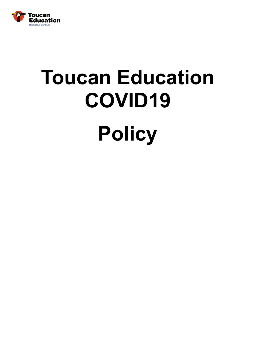

## **Toucan Education COVID19 Policy**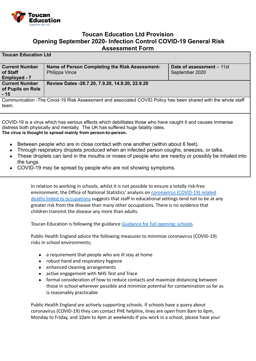

## **Toucan Education Ltd Provision Opening September 2020- Infection Control COVID-19 General Risk Assessment Form**

## **Toucan Education Ltd**

team.

| <b>Current Number</b>                                                                                         | Name of Person Completing the Risk Assessment-  | Date of assessment - 11st |
|---------------------------------------------------------------------------------------------------------------|-------------------------------------------------|---------------------------|
| of Staff                                                                                                      | Philippa Vince                                  | September 2020            |
| <b>Employed - 7</b>                                                                                           |                                                 |                           |
| <b>Current Number</b>                                                                                         | Review Dates -26.7.20, 7.9.20, 14.9.20, 22.9.20 |                           |
| of Pupils on Role                                                                                             |                                                 |                           |
| $-15$                                                                                                         |                                                 |                           |
| Communication - The Covid-19 Risk Assessment and associated COVID Policy has been shared with the whole staff |                                                 |                           |

COVID-19 is a virus which has serious effects which debilitates those who have caught it and causes immense distress both physically and mentally. The UK has suffered huge fatality rates. **The virus is thought to spread mainly from person-to-person.**

- Between people who are in close contact with one another (within about 6 feet).
- Through respiratory droplets produced when an infected person coughs, sneezes, or talks.
- These droplets can land in the mouths or noses of people who are nearby or possibly be inhaled into the lungs.
- COVID-19 may be spread by people who are not showing symptoms.

In relation to working in schools, whilst it is not possible to ensure a totally risk-free environment, the Office of National Statistics' analysis on [coronavirus \(COVID-19\) related](https://www.ons.gov.uk/peoplepopulationandcommunity/healthandsocialcare/causesofdeath/bulletins/coronaviruscovid19relateddeathsbyoccupationenglandandwales/deathsregistereduptoandincluding20april2020) [deaths linked to occupations](https://www.ons.gov.uk/peoplepopulationandcommunity/healthandsocialcare/causesofdeath/bulletins/coronaviruscovid19relateddeathsbyoccupationenglandandwales/deathsregistereduptoandincluding20april2020) suggests that staff in educational settings tend not to be at any greater risk from the disease than many other occupations. There is no evidence that children transmit the disease any more than adults.

Toucan Education is following the guidance Guidance [for full opening: schools](https://www.gov.uk/government/publications/actions-for-schools-during-the-coronavirus-outbreak/guidance-for-full-opening-schools)

Public Health England advice the following measures to minimize coronavirus (COVID-19) risks in school environments;

- a requirement that people who are ill stay at home
- robust hand and respiratory hygiene
- enhanced cleaning arrangements
- active engagement with NHS Test and Trace
- formal consideration of how to reduce contacts and maximize distancing between those in school wherever possible and minimize potential for contamination so far as is reasonably practicable

Public Health England are actively supporting schools. If schools have a query about coronavirus (COVID-19) they can contact PHE helpline, lines are open from 8am to 6pm, Monday to Friday, and 10am to 4pm at weekends-If you work in a school, please have your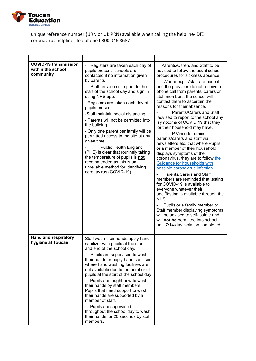

## unique reference number (URN or UK PRN) available when calling the helpline- DfE coronavirus helpline -Telephone 0800 046 8687

| <b>COVID-19 transmission</b><br>within the school<br>community | Registers are taken each day of<br>pupils present -schools are<br>contacted if no information given<br>by parents<br>Staff arrive on site prior to the<br>start of the school day and sign in<br>using NHS app.<br>- Registers are taken each day of<br>pupils present.<br>-Staff maintain social distancing.<br>- Parents will not be permitted into<br>the building.<br>- Only one parent per family will be<br>permitted access to the site at any<br>given time.<br><b>Public Health England</b><br>(PHE) is clear that routinely taking<br>the temperature of pupils is not<br>recommended as this is an<br>unreliable method for identifying<br>coronavirus (COVID-19). | Parents/Carers and Staff to be<br>advised to follow the usual school<br>procedures for sickness absence.<br>Where pupils/staff are absent<br>and the provision do not receive a<br>phone call from parents/ carers or<br>staff members, the school will<br>contact them to ascertain the<br>reasons for their absence.<br>Parents/Carers and Staff<br>advised to report to the school any<br>symptoms of COVID 19 that they<br>or their household may have.<br>P Vince to remind<br>parents/carers and staff via<br>newsletters etc. that where Pupils<br>or a member of their household<br>displays symptoms of the<br>coronavirus, they are to follow the<br>Guidance for households with<br>possible coronavirus infection.<br>Parents/Carers and Staff<br>members are reminded that testing<br>for COVID-19 is available to<br>everyone whatever their<br>age. Testing is available through the<br>NHS.<br>Pupils or a family member or<br>Staff member displaying symptoms<br>will be advised to self-isolate and<br>will not be permitted into school<br>until 7/14-day isolation completed. |
|----------------------------------------------------------------|-------------------------------------------------------------------------------------------------------------------------------------------------------------------------------------------------------------------------------------------------------------------------------------------------------------------------------------------------------------------------------------------------------------------------------------------------------------------------------------------------------------------------------------------------------------------------------------------------------------------------------------------------------------------------------|----------------------------------------------------------------------------------------------------------------------------------------------------------------------------------------------------------------------------------------------------------------------------------------------------------------------------------------------------------------------------------------------------------------------------------------------------------------------------------------------------------------------------------------------------------------------------------------------------------------------------------------------------------------------------------------------------------------------------------------------------------------------------------------------------------------------------------------------------------------------------------------------------------------------------------------------------------------------------------------------------------------------------------------------------------------------------------------------------|
| <b>Hand and respiratory</b><br>hygiene at Toucan               | Staff wash their hands/apply hand<br>sanitizer with pupils at the start<br>and end of the school day.<br>Pupils are supervised to wash<br>$\overline{\phantom{0}}$<br>their hands or apply hand sanitiser<br>where hand washing facilities are<br>not available due to the number of<br>pupils at the start of the school day<br>Pupils are taught how to wash<br>$\qquad \qquad -$<br>their hands by staff members.<br>Pupils that need support to wash<br>their hands are supported by a<br>member of staff.<br>Pupils are supervised<br>$\qquad \qquad \blacksquare$<br>throughout the school day to wash<br>their hands for 20 seconds by staff<br>members.               |                                                                                                                                                                                                                                                                                                                                                                                                                                                                                                                                                                                                                                                                                                                                                                                                                                                                                                                                                                                                                                                                                                    |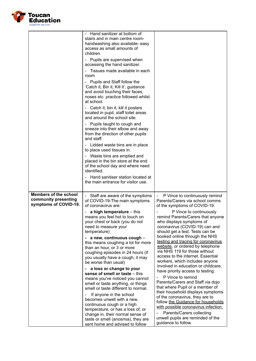

|                                                                               | Hand sanitizer at bottom of<br>stairs and in main centre room-<br>handwashing also available- easy<br>access as small amounts of<br>children.<br>Pupils are supervised when<br>$\overline{\phantom{a}}$<br>accessing the hand sanitizer.<br>Tissues made available in each<br>room<br>Pupils and Staff follow the<br>'Catch it, Bin it, Kill it', guidance<br>and avoid touching their faces,<br>noses etc. practice followed whilst<br>at school.<br>Catch it, bin it, kill it posters<br>located in pupil, staff toilet areas<br>and around the school site.<br>Pupils taught to cough and<br>sneeze into their elbow and away<br>from the direction of other pupils<br>and staff.<br>Lidded waste bins are in place<br>to place used tissues in.<br>Waste bins are emptied and<br>placed in the bin store at the end<br>of the school day and where need<br>identified.<br>Hand sanitiser station located at<br>the main entrance for visitor use. |                                                                                                                                                                                                                                                                                                                                                                                                                                                                                                                                                                                                                                                                                                                                                                                                                                                                                                               |
|-------------------------------------------------------------------------------|-------------------------------------------------------------------------------------------------------------------------------------------------------------------------------------------------------------------------------------------------------------------------------------------------------------------------------------------------------------------------------------------------------------------------------------------------------------------------------------------------------------------------------------------------------------------------------------------------------------------------------------------------------------------------------------------------------------------------------------------------------------------------------------------------------------------------------------------------------------------------------------------------------------------------------------------------------|---------------------------------------------------------------------------------------------------------------------------------------------------------------------------------------------------------------------------------------------------------------------------------------------------------------------------------------------------------------------------------------------------------------------------------------------------------------------------------------------------------------------------------------------------------------------------------------------------------------------------------------------------------------------------------------------------------------------------------------------------------------------------------------------------------------------------------------------------------------------------------------------------------------|
| <b>Members of the school</b><br>community presenting<br>symptoms of COVID-19. | Staff are aware of the symptoms<br>of COVID-19-The main symptoms<br>of coronavirus are:<br>a high temperature $-$ this<br>means you feel hot to touch on<br>your chest or back (you do not<br>need to measure your<br>temperature)<br>- a new, continuous cough -<br>this means coughing a lot for more<br>than an hour, or 3 or more<br>coughing episodes in 24 hours (if<br>you usually have a cough, it may<br>be worse than usual)<br>a loss or change to your<br>sense of smell or taste - this<br>means you've noticed you cannot<br>smell or taste anything, or things<br>smell or taste different to normal.<br>If anyone in the school<br>becomes unwell with a new,<br>continuous cough or a high<br>temperature, or has a loss of, or<br>change in, their normal sense of<br>taste or smell (anosmia), they are<br>sent home and advised to follow                                                                                         | P Vince to continuously remind<br>Parents/Carers via school comms<br>of the symptoms of COVID-19.<br>P Vince to continuously<br>remind Parents/Carers that anyone<br>who displays symptoms of<br>coronavirus (COVID-19) can and<br>should get a test. Tests can be<br>booked online through the NHS<br>testing and tracing for coronavirus<br>website, or ordered by telephone<br>via NHS 119 for those without<br>access to the internet. Essential<br>workers, which includes anyone<br>involved in education or childcare,<br>have priority access to testing.<br>P Vince to remind<br>Parents/Carers and Staff via dojo<br>that where Pupil or a member of<br>their household displays symptoms<br>of the coronavirus, they are to<br>follow the Guidance for households<br>with possible coronavirus infection.<br>Parents/Carers collecting<br>unwell pupils are reminded of the<br>guidance to follow. |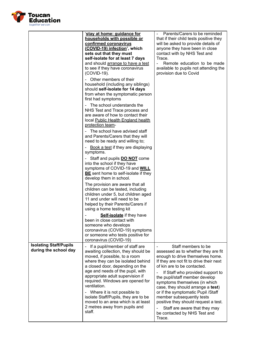

|                                                        | 'stay at home: guidance for<br>households with possible or<br>confirmed coronavirus<br>(COVID-19) infection', which<br>sets out that they must                                                                                                                                                                                             | Parents/Carers to be reminded<br>$\qquad \qquad \blacksquare$<br>that if their child tests positive they<br>will be asked to provide details of<br>anyone they have been in close<br>contact with by NHS Test and                                                               |
|--------------------------------------------------------|--------------------------------------------------------------------------------------------------------------------------------------------------------------------------------------------------------------------------------------------------------------------------------------------------------------------------------------------|---------------------------------------------------------------------------------------------------------------------------------------------------------------------------------------------------------------------------------------------------------------------------------|
|                                                        | self-isolate for at least 7 days<br>and should arrange to have a test<br>to see if they have coronavirus<br>(COVID-19).                                                                                                                                                                                                                    | Trace.<br>Remote education to be made<br>available to pupils not attending the<br>provision due to Covid                                                                                                                                                                        |
|                                                        | Other members of their<br>household (including any siblings)<br>should self-isolate for 14 days<br>from when the symptomatic person<br>first had symptoms                                                                                                                                                                                  |                                                                                                                                                                                                                                                                                 |
|                                                        | The school understands the<br>$\overline{\phantom{a}}$<br>NHS Test and Trace process and<br>are aware of how to contact their<br>local Public Health England health<br>protection team-                                                                                                                                                    |                                                                                                                                                                                                                                                                                 |
|                                                        | The school have advised staff<br>and Parents/Carers that they will<br>need to be ready and willing to;                                                                                                                                                                                                                                     |                                                                                                                                                                                                                                                                                 |
|                                                        | Book a test if they are displaying<br>$\overline{\phantom{a}}$<br>symptoms.                                                                                                                                                                                                                                                                |                                                                                                                                                                                                                                                                                 |
|                                                        | Staff and pupils <b>DO NOT</b> come<br>into the school if they have<br>symptoms of COVID-19 and WILL<br><b>BE</b> sent home to self-isolate if they<br>develop them in school.                                                                                                                                                             |                                                                                                                                                                                                                                                                                 |
|                                                        | The provision are aware that all<br>children can be tested, including<br>children under 5, but children aged<br>11 and under will need to be<br>helped by their Parents/Carers if<br>using a home testing kit                                                                                                                              |                                                                                                                                                                                                                                                                                 |
|                                                        | Self-isolate if they have<br>been in close contact with<br>someone who develops<br>coronavirus (COVID-19) symptoms<br>or someone who tests positive for<br>coronavirus (COVID-19)                                                                                                                                                          |                                                                                                                                                                                                                                                                                 |
| <b>Isolating Staff/Pupils</b><br>during the school day | If a pupil/member of staff are<br>$\qquad \qquad \blacksquare$<br>awaiting collection, they should be<br>moved, if possible, to a room<br>where they can be isolated behind<br>a closed door, depending on the<br>age and needs of the pupil, with<br>appropriate adult supervision if<br>required. Windows are opened for<br>ventilation. | Staff members to be<br>assessed as to whether they are fit<br>enough to drive themselves home.<br>If they are not fit to drive their next<br>of kin are to be contacted.<br>If Staff who provided support to<br>the pupil/staff member develop<br>symptoms themselves (in which |
|                                                        | Where it is not possible to<br>isolate Staff/Pupils, they are to be<br>moved to an area which is at least<br>2 metres away from pupils and<br>staff.                                                                                                                                                                                       | case, they should arrange a test)<br>or if the symptomatic Pupil /Staff<br>member subsequently tests<br>positive they should request a test.<br>Staff are aware that they may<br>be contacted by NHS Test and<br>Trace.                                                         |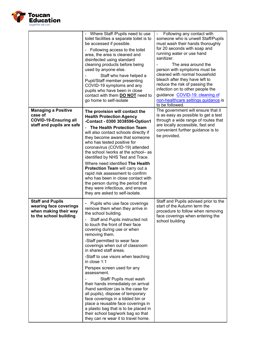

|                                                                                                      | - Where Staff / Pupils need to use<br>toilet facilities a separate toilet is to<br>be accessed if possible.<br>Following access to the toilet<br>area, the area is cleaned and<br>disinfected using standard<br>cleaning products before being<br>used by anyone else.<br>Staff who have helped a<br>Pupil/Staff member presenting<br>COVID-19 symptoms and any<br>pupils who have been in close<br>contact with them <b>DO NOT</b> need to<br>go home to self-isolate                                                                                                                                                                                                                                                                                          | Following any contact with<br>$\overline{\phantom{0}}$<br>someone who is unwell Staff/Pupils<br>must wash their hands thoroughly<br>for 20 seconds with soap and<br>running water or use hand<br>sanitizer.<br>The area around the<br>person with symptoms must be<br>cleaned with normal household<br>bleach after they have left to<br>reduce the risk of passing the<br>infection on to other people the<br>guidance COVID-19: cleaning of<br>non-healthcare settings guidance is<br>to be followed. |
|------------------------------------------------------------------------------------------------------|-----------------------------------------------------------------------------------------------------------------------------------------------------------------------------------------------------------------------------------------------------------------------------------------------------------------------------------------------------------------------------------------------------------------------------------------------------------------------------------------------------------------------------------------------------------------------------------------------------------------------------------------------------------------------------------------------------------------------------------------------------------------|---------------------------------------------------------------------------------------------------------------------------------------------------------------------------------------------------------------------------------------------------------------------------------------------------------------------------------------------------------------------------------------------------------------------------------------------------------------------------------------------------------|
| <b>Managing a Positive</b><br>case of<br><b>COVID-19-Ensuring all</b><br>staff and pupils are safe   | The provision will contact the<br><b>Health Protection Agency</b><br>-Contact - 0300 3038596-Option1<br>The Health Protection Team<br>will also contact schools directly if<br>they become aware that someone<br>who has tested positive for<br>coronavirus (COVID-19) attended<br>the school /works at the school- as<br>identified by NHS Test and Trace.<br>Where need identified The Health<br>Protection Team will carry out a<br>rapid risk assessment to confirm<br>who has been in close contact with<br>the person during the period that<br>they were infectious, and ensure<br>they are asked to self-isolate.                                                                                                                                       | The government will ensure that it<br>is as easy as possible to get a test<br>through a wide range of routes that<br>are locally accessible, fast and<br>convenient further guidance is to<br>be provided.                                                                                                                                                                                                                                                                                              |
| <b>Staff and Pupils</b><br>wearing face coverings<br>when making their way<br>to the school building | Pupils who use face coverings<br>remove them when they arrive in<br>the school building.<br>Staff and Pupils instructed not<br>to touch the front of their face<br>covering during use or when<br>removing them.<br>-Staff permitted to wear face<br>coverings when out of classroom<br>in shared staff areas.<br>-Staff to use visors when teaching<br>in close 1:1<br>Perspex screen used for any<br>assessment.<br>Staff/ Pupils must wash<br>their hands immediately on arrival<br>/hand sanitizer (as is the case for<br>all pupils), dispose of temporary<br>face coverings in a lidded bin or<br>place a reusable face coverings in<br>a plastic bag that is to be placed in<br>their school bag/work bag so that<br>they can re wear it to travel home. | Staff and Pupils advised prior to the<br>start of the Autumn term the<br>procedure to follow when removing<br>face coverings when entering the<br>school building                                                                                                                                                                                                                                                                                                                                       |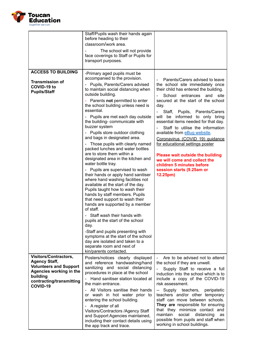

|                                                                                                                                                                      | Staff/Pupils wash their hands again<br>before heading to their<br>classroom/work area.<br>The school will not provide<br>face coverings to Staff or Pupils for<br>transport purposes.                                                                                                                                                                                                                                                                                                                                                                                                                                                                                                                                                                                                                                                                                                                                                                                                                                                                                                                                                                                                                       |                                                                                                                                                                                                                                                                                                                                                                                                                                                                                                                                                                                                        |
|----------------------------------------------------------------------------------------------------------------------------------------------------------------------|-------------------------------------------------------------------------------------------------------------------------------------------------------------------------------------------------------------------------------------------------------------------------------------------------------------------------------------------------------------------------------------------------------------------------------------------------------------------------------------------------------------------------------------------------------------------------------------------------------------------------------------------------------------------------------------------------------------------------------------------------------------------------------------------------------------------------------------------------------------------------------------------------------------------------------------------------------------------------------------------------------------------------------------------------------------------------------------------------------------------------------------------------------------------------------------------------------------|--------------------------------------------------------------------------------------------------------------------------------------------------------------------------------------------------------------------------------------------------------------------------------------------------------------------------------------------------------------------------------------------------------------------------------------------------------------------------------------------------------------------------------------------------------------------------------------------------------|
| <b>ACCESS TO BUILDING</b><br><b>Transmission of</b><br>COVID-19 to<br><b>Pupils/Staff</b>                                                                            | -Primary aged pupils must be<br>accompanied to the provision.<br>Pupils, Parents/Carers advised<br>to maintain social distancing when<br>outside building.<br>Parents not permitted to enter<br>÷<br>the school building unless need is<br>essential.<br>Pupils are met each day outside<br>the building- communicate with<br>buzzer system<br>Pupils store outdoor clothing<br>$\qquad \qquad \blacksquare$<br>and bags in designated area.<br>Those pupils with clearly named<br>-<br>packed lunches and water bottles<br>are to store them within a<br>designated area in the kitchen and<br>water bottle tray.<br>Pupils are supervised to wash<br>$\overline{\phantom{0}}$<br>their hands or apply hand sanitiser<br>where hand washing facilities not<br>available at the start of the day.<br>Pupils taught how to wash their<br>hands by staff members. Pupils<br>that need support to wash their<br>hands are supported by a member<br>of staff.<br>Staff wash their hands with<br>pupils at the start of the school<br>day.<br>-Staff and pupils presenting with<br>symptoms at the start of the school<br>day are isolated and taken to a<br>separate room and next of<br>kin/parents contacted. | Parents/Carers advised to leave<br>the school site immediately once<br>their child has entered the building.<br>School<br>entrances<br>and<br>site<br>secured at the start of the school<br>day.<br>Staff, Pupils, Parents/Carers<br>will be informed to only bring<br>essential items needed for that day.<br>Staff to utilise the information<br>available from eBug website.<br>Coronavirus (COVID 19) quidance<br>for educational settings poster<br><b>Please wait outside the building</b><br>we will come and collect the<br>children 5 minutes before<br>session starts (9.25am or<br>12.25pm) |
| <b>Visitors/Contractors,</b><br><b>Agency Staff,</b><br><b>Volunteers and Support</b><br>Agencies working in the<br>building<br>contracting/transmitting<br>COVID-19 | Posters/notices clearly displayed<br>and reference handwashing/hand<br>sanitizing and social distancing<br>procedures in place at the school<br>Hand sanitiser station located at<br>the main entrance.<br>All Visitors sanitise their hands<br>or wash in hot water prior to<br>entering the school building.<br>A register of all<br>$\overline{\phantom{a}}$<br>Visitors/Contractors /Agency Staff<br>and Support Agencies maintained,<br>including their contact details using<br>the app track and trace.                                                                                                                                                                                                                                                                                                                                                                                                                                                                                                                                                                                                                                                                                              | Are to be advised not to attend<br>$\blacksquare$<br>the school if they are unwell.<br>Supply Staff to receive a full<br>induction into the school which is to<br>include a copy of the COVID-19<br>risk assessment.<br>-- Supply teachers,<br>peripatetic<br>teachers and/or other temporary<br>staff can move between schools.<br>They are responsible for ensuring<br>that they minimize contact and<br>social<br>maintain<br>distancing<br>as<br>possible from pupils and staff when<br>working in school buildings.                                                                               |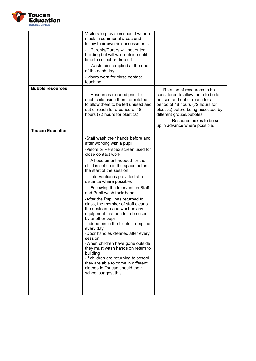

|                         | Visitors to provision should wear a<br>mask in communal areas and<br>follow their own risk assessments<br>Parents/Carers will not enter<br>building but will wait outside until<br>time to collect or drop off<br>Waste bins emptied at the end<br>of the each day.<br>- visors worn for close contact<br>teaching                                                                                                                                                                                                                                                                                                                                                                                                                                                                                                                                                                                                                            |                                                                                                                                                                                                                                        |
|-------------------------|-----------------------------------------------------------------------------------------------------------------------------------------------------------------------------------------------------------------------------------------------------------------------------------------------------------------------------------------------------------------------------------------------------------------------------------------------------------------------------------------------------------------------------------------------------------------------------------------------------------------------------------------------------------------------------------------------------------------------------------------------------------------------------------------------------------------------------------------------------------------------------------------------------------------------------------------------|----------------------------------------------------------------------------------------------------------------------------------------------------------------------------------------------------------------------------------------|
| <b>Bubble resources</b> | Resources cleaned prior to<br>each child using them, or rotated<br>to allow them to be left unused and<br>out of reach for a period of 48<br>hours (72 hours for plastics)                                                                                                                                                                                                                                                                                                                                                                                                                                                                                                                                                                                                                                                                                                                                                                    | Rotation of resources to be<br>considered to allow them to be left<br>unused and out of reach for a<br>period of 48 hours (72 hours for<br>plastics) before being accessed by<br>different groups/bubbles.<br>Resource boxes to be set |
| <b>Toucan Education</b> |                                                                                                                                                                                                                                                                                                                                                                                                                                                                                                                                                                                                                                                                                                                                                                                                                                                                                                                                               | up in advance where possible.                                                                                                                                                                                                          |
|                         | -Staff wash their hands before and<br>after working with a pupil<br>-Visors or Perspex screen used for<br>close contact work.<br>All equipment needed for the<br>$\blacksquare$<br>child is set up in the space before<br>the start of the session<br>intervention is provided at a<br>$\overline{\phantom{a}}$<br>distance where possible.<br>Following the intervention Staff<br>$\overline{\phantom{a}}$<br>and Pupil wash their hands.<br>-After the Pupil has returned to<br>class, the member of staff cleans<br>the desk area and washes any<br>equipment that needs to be used<br>by another pupil.<br>-Lidded bin in the toilets - emptied<br>every day<br>-Door handles cleaned after every<br>session<br>-When children have gone outside<br>they must wash hands on return to<br>building<br>-If children are returning to school<br>they are able to come in different<br>clothes to Toucan should their<br>school suggest this. |                                                                                                                                                                                                                                        |